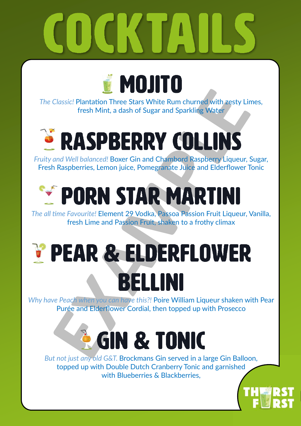

*The Classic!* Plantation Three Stars White Rum churned with zesty Limes, fresh Mint, a dash of Sugar and Sparkling Water

## **RASPBERRY COLLINS**

*Fruity and Well balanced!* Boxer Gin and Chambord Raspberry Liqueur, Sugar, Fresh Raspberries, Lemon juice, Pomegranate Juice and Elderflower Tonic

### **FIPORN STAR MARTINI**

*The all time Favourite!* Element 29 Vodka, Passoa Passion Fruit Liqueur, Vanilla, fresh Lime and Passion Fruit, shaken to a frothy climax

### *V PEAR & ELDERFLOWER* BELLINI

*Why have Peach when you can have this?!* Poire William Liqueur shaken with Pear Purée and Elderflower Cordial, then topped up with Prosecco

### **EGIN & TONIC**

*But not just any old G&T.* Brockmans Gin served in a large Gin Balloon, topped up with Double Dutch Cranberry Tonic and garnished with Blueberries & Blackberries.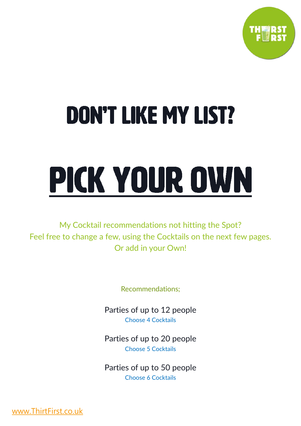

## **DON'T LIKE MY LIST?**

# PICK YOUR OWN

My Cocktail recommendations not hitting the Spot? Feel free to change a few, using the Cocktails on the next few pages. Or add in your Own!

Recommendations;

Parties of up to 12 people Choose 4 Cocktails

Parties of up to 20 people Choose 5 Cocktails

Parties of up to 50 people Choose 6 Cocktails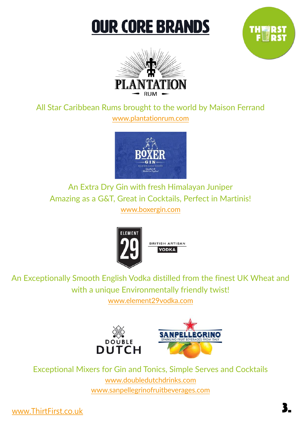### **OUR CORE BRANDS**





All Star Caribbean Rums brought to the world by Maison Ferrand [www.plantationrum.com](http://www.plantationrum.com)



An Extra Dry Gin with fresh Himalayan Juniper Amazing as a G&T, Great in Cocktails, Perfect in Martinis! [www.boxergin.com](http://www.boxergin.com)



An Exceptionally Smooth English Vodka distilled from the finest UK Wheat and with a unique Environmentally friendly twist! [www.element29vodka.com](http://www.element29vodka.com)



Exceptional Mixers for Gin and Tonics, Simple Serves and Cocktails [www.doubledutchdrinks.com](http://www.doubledutchdrinks.com) [www.sanpellegrinofruitbeverages.com](http://www.sanpellegrinofruitbeverages.com/uk/en/mixart)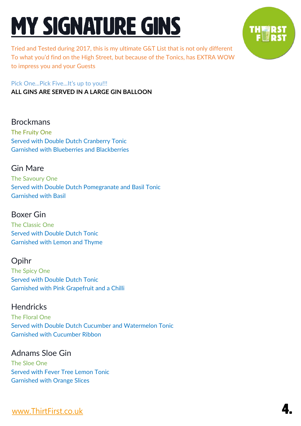### **MY SIGNATURE GINS**

Tried and Tested during 2017, this is my ultimate G&T List that is not only different To what you'd find on the High Street, but because of the Tonics, has EXTRA WOW to impress you and your Guests

Pick One...Pick Five...It's up to you!!! **ALL GINS ARE SERVED IN A LARGE GIN BALLOON**

#### Brockmans

The Fruity One Served with Double Dutch Cranberry Tonic Garnished with Blueberries and Blackberries

#### Gin Mare

The Savoury One Served with Double Dutch Pomegranate and Basil Tonic Garnished with Basil

#### Boxer Gin

The Classic One Served with Double Dutch Tonic Garnished with Lemon and Thyme

#### Opihr

The Spicy One Served with Double Dutch Tonic Garnished with Pink Grapefruit and a Chilli

#### **Hendricks**

The Floral One Served with Double Dutch Cucumber and Watermelon Tonic Garnished with Cucumber Ribbon

#### Adnams Sloe Gin

The Sloe One Served with Fever Tree Lemon Tonic Garnished with Orange Slices

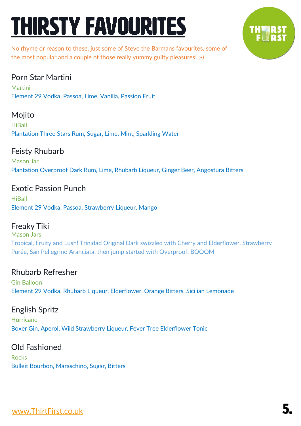### **THIRSTY FAVOURITES**



No rhyme or reason to these, just some of Steve the Barmans favourites, some of the most popular and a couple of those really yummy guilty pleasures! ;-)

#### Porn Star Martini

**Martini** Element 29 Vodka, Passoa, Lime, Vanilla, Passion Fruit

#### Mojito

**HiBall** Plantation Three Stars Rum, Sugar, Lime, Mint, Sparkling Water

#### Feisty Rhubarb

Mason Jar Plantation Overproof Dark Rum, Lime, Rhubarb Liqueur, Ginger Beer, Angostura Bitters

#### Exotic Passion Punch

**HiBall** Element 29 Vodka, Passoa, Strawberry Liqueur, Mango

#### Freaky Tiki

Mason Jars Tropical, Fruity and Lush! Trinidad Original Dark swizzled with Cherry and Elderflower, Strawberry Purée, San Pellegrino Aranciata, then jump started with Overproof. BOOOM

#### Rhubarb Refresher

Gin Balloon Element 29 Vodka, Rhubarb Liqueur, Elderflower, Orange Bitters, Sicilian Lemonade

#### English Spritz

Hurricane Boxer Gin, Aperol, Wild Strawberry Liqueur, Fever Tree Elderflower Tonic

#### Old Fashioned

Rocks Bulleit Bourbon, Maraschino, Sugar, Bitters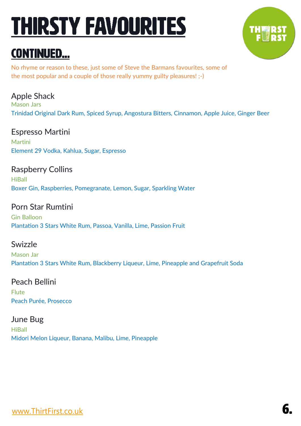### **THIRSTY FAVOURITES**

### **CONTINUED...**

No rhyme or reason to these, just some of Steve the Barmans favourites, some of the most popular and a couple of those really yummy guilty pleasures! ;-)

Apple Shack Mason Jars Trinidad Original Dark Rum, Spiced Syrup, Angostura Bitters, Cinnamon, Apple Juice, Ginger Beer

Espresso Martini Martini Element 29 Vodka, Kahlua, Sugar, Espresso

Raspberry Collins **HiBall** Boxer Gin, Raspberries, Pomegranate, Lemon, Sugar, Sparkling Water

Porn Star Rumtini Gin Balloon Plantation 3 Stars White Rum, Passoa, Vanilla, Lime, Passion Fruit

#### Swizzle

Mason Jar Plantation 3 Stars White Rum, Blackberry Liqueur, Lime, Pineapple and Grapefruit Soda

Peach Bellini

Flute Peach Purée, Prosecco

June Bug **HiBall** Midori Melon Liqueur, Banana, Malibu, Lime, Pineapple



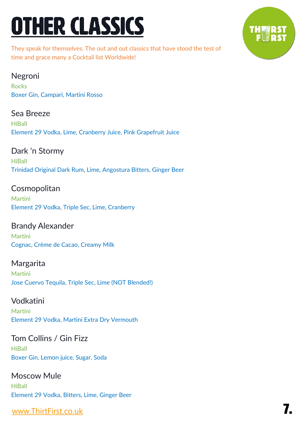### **OTHER CLASSICS**

They speak for themselves. The out and out classics that have stood the test of time and grace many a Cocktail list Worldwide!

#### Negroni

Rocks Boxer Gin, Campari, Martini Rosso

#### Sea Breeze

**HiBall** Element 29 Vodka, Lime, Cranberry Juice, Pink Grapefruit Juice

#### Dark 'n Stormy

**HiBall** Trinidad Original Dark Rum, Lime, Angostura Bitters, Ginger Beer

#### **Cosmopolitan**

Martini Element 29 Vodka, Triple Sec, Lime, Cranberry

#### Brandy Alexander Martini

Cognac, Crème de Cacao, Creamy Milk

#### Margarita Martini Jose Cuervo Tequila, Triple Sec, Lime (NOT Blended!)

#### Vodkatini

**Martini** Element 29 Vodka, Martini Extra Dry Vermouth

#### Tom Collins / Gin Fizz **HiBall**

Boxer Gin, Lemon juice, Sugar, Soda

#### Moscow Mule

**HiBall** Element 29 Vodka, Bitters, Lime, Ginger Beer

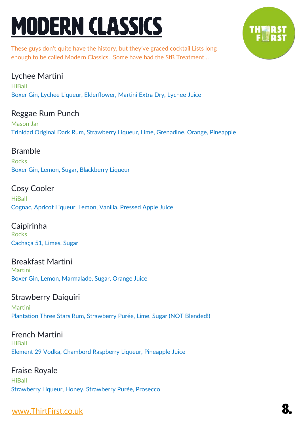### **MODERN CLASSICS**



These guys don't quite have the history, but they've graced cocktail Lists long enough to be called Modern Classics. Some have had the StB Treatment…

#### Lychee Martini

**HiBall** Boxer Gin, Lychee Liqueur, Elderflower, Martini Extra Dry, Lychee Juice

#### Reggae Rum Punch

Mason Jar Trinidad Original Dark Rum, Strawberry Liqueur, Lime, Grenadine, Orange, Pineapple

#### Bramble

**Rocks** Boxer Gin, Lemon, Sugar, Blackberry Liqueur

#### Cosy Cooler

**HiBall** Cognac, Apricot Liqueur, Lemon, Vanilla, Pressed Apple Juice

Caipirinha **Rocks** Cachaça 51, Limes, Sugar

#### Breakfast Martini Martini

Boxer Gin, Lemon, Marmalade, Sugar, Orange Juice

#### Strawberry Daiquiri

Martini Plantation Three Stars Rum, Strawberry Purée, Lime, Sugar (NOT Blended!)

#### French Martini **HiBall** Element 29 Vodka, Chambord Raspberry Liqueur, Pineapple Juice

#### Fraise Royale **HiBall** Strawberry Liqueur, Honey, Strawberry Purée, Prosecco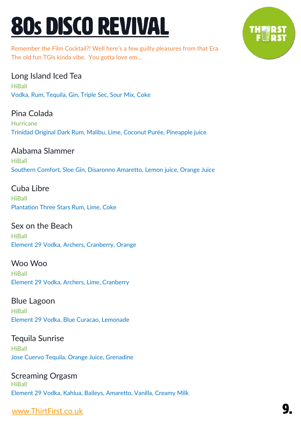### 80s DISCO REVIVAL

Remember the Film Cocktail?! Well here's a few guilty pleasures from that Era. The old fun TGIs kinda vibe. You gotta love em…

#### Long Island Iced Tea

**HiBall** Vodka, Rum, Tequila, Gin, Triple Sec, Sour Mix, Coke

#### Pina Colada

**Hurricane** Trinidad Original Dark Rum, Malibu, Lime, Coconut Purée, Pineapple juice

#### Alabama Slammer

**HiBall** Southern Comfort, Sloe Gin, Disaronno Amaretto, Lemon juice, Orange Juice

#### Cuba Libre

HiBall Plantation Three Stars Rum, Lime, Coke

Sex on the Beach **HiBall** Element 29 Vodka, Archers, Cranberry, Orange

Woo Woo **HiBall** Element 29 Vodka, Archers, Lime, Cranberry

Blue Lagoon **HiBall** Element 29 Vodka, Blue Curacao, Lemonade

Tequila Sunrise **HiBall** Jose Cuervo Tequila, Orange Juice, Grenadine

Screaming Orgasm **HiBall** Element 29 Vodka, Kahlua, Baileys, Amaretto, Vanilla, Creamy Milk